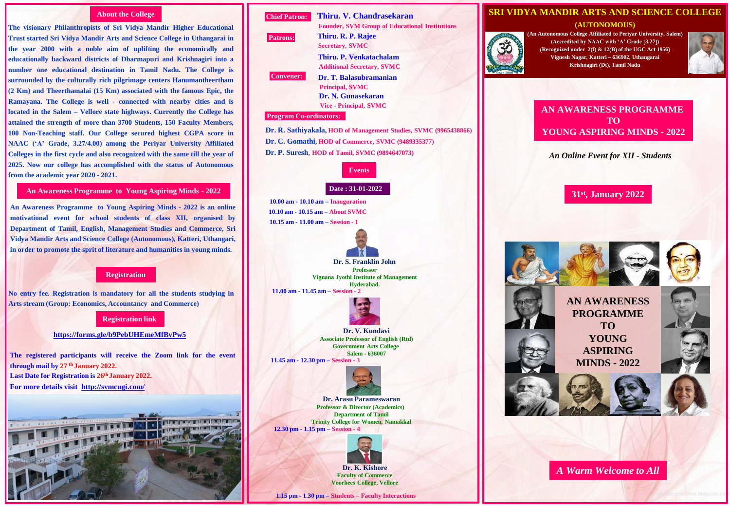## **About the College**

**The visionary Philanthropists of Sri Vidya Mandir Higher Educational Trust started Sri Vidya Mandir Arts and Science College in Uthangarai in the year 2000 with a noble aim of uplifting the economically and educationally backward districts of Dharmapuri and Krishnagiri into a number one educational destination in Tamil Nadu. The College is surrounded by the culturally rich pilgrimage centers Hanumantheertham (2 Km) and Theerthamalai (15 Km) associated with the famous Epic, the Ramayana. The College is well - connected with nearby cities and is located in the Salem – Vellore state highways. Currently the College has attained the strength of more than 3700 Students, 150 Faculty Members, 100 Non-Teaching staff. Our College secured highest CGPA score in NAAC ('A' Grade, 3.27/4.00) among the Periyar University Affiliated Colleges in the first cycle and also recognized with the same till the year of 2025. Now our college has accomplished with the status of Autonomous from the academic year 2020 - 2021.**

## **An Awareness Programme to Young Aspiring Minds - 2022**

**An Awareness Programme to Young Aspiring Minds - 2022 is an online motivational event for school students of class XII, organised by Department of Tamil, English, Management Studies and Commerce, Sri Vidya Mandir Arts and Science College (Autonomous), Katteri, Uthangari, in order to promote the sprit of literature and humanities in young minds.**

## **Registration**

**No entry fee. Registration is mandatory for all the students studying in Arts stream (Group: Economics, Accountancy and Commerce)**

#### **Registration link**

**<https://forms.gle/b9PebUHEmeMfBvPw5>**

**The registered participants will receive the Zoom link for the event through mail by 27 th January 2022. Last Date for Registration is 26th January 2022. For more details visit <http://svmcugi.com/>**





# **SRI VIDYA MANDIR ARTS AND SCIENCE COLLEGE (AUTONOMOUS) An Autonomous College Affiliated to Periyar University, Salem (Accredited by NAAC with 'A' Grade 3.27) Recognized under 2f & 12B of the UGC Act 1956 Vignesh Nagar, Katteri 636902, Uthangarai Krishnagiri Dt, Tamil Nadu AN AWARENESS PROGRAMME TO YOUNG ASPIRING MINDS - 2022** *An Online Event for XII - Students* **31st , January 2022 AN AWARENESS PROGRAMME TO YOUNG ASPIRING MINDS - 2022** *A Warm Welcome to All*